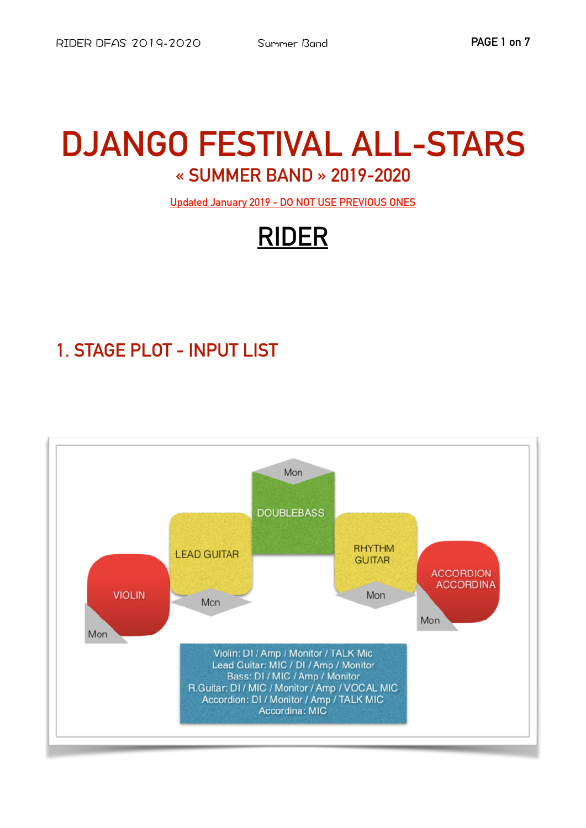# **DJANGO FESTIVAL ALL-STARS** « SUMMER BAND » 2019-2020

Updated January 2019 - DO NOT USE PREVIOUS ONES

# **RIDER**

# 1. STAGE PLOT - INPUT LIST

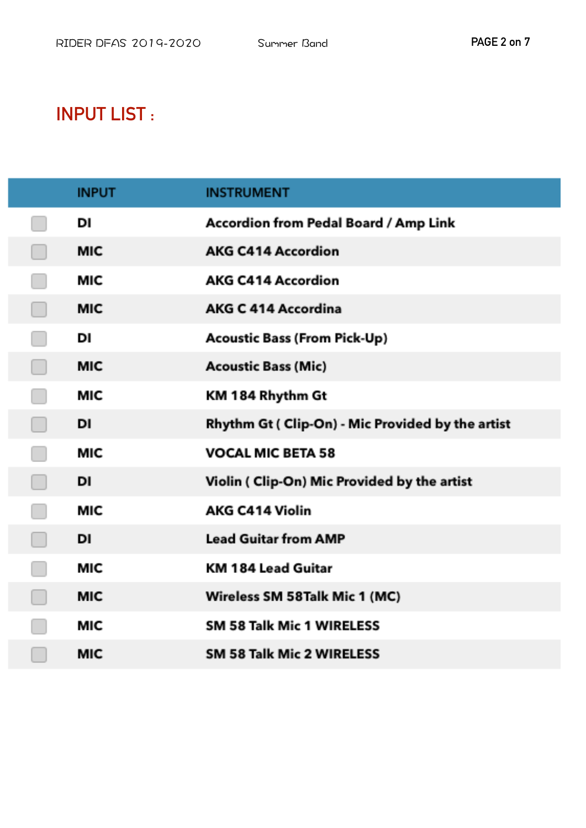### **INPUT LIST:**

| <b>INPUT</b> | <b>INSTRUMENT</b>                                 |
|--------------|---------------------------------------------------|
| DI           | Accordion from Pedal Board / Amp Link             |
| <b>MIC</b>   | <b>AKG C414 Accordion</b>                         |
| <b>MIC</b>   | <b>AKG C414 Accordion</b>                         |
| <b>MIC</b>   | <b>AKG C 414 Accordina</b>                        |
| DI           | <b>Acoustic Bass (From Pick-Up)</b>               |
| <b>MIC</b>   | <b>Acoustic Bass (Mic)</b>                        |
| <b>MIC</b>   | KM 184 Rhythm Gt                                  |
| DI           | Rhythm Gt ( Clip-On) - Mic Provided by the artist |
| <b>MIC</b>   | <b>VOCAL MIC BETA 58</b>                          |
| DI           | Violin ( Clip-On) Mic Provided by the artist      |
| <b>MIC</b>   | <b>AKG C414 Violin</b>                            |
| DI           | <b>Lead Guitar from AMP</b>                       |
| MIC          | KM 184 Lead Guitar                                |
| <b>MIC</b>   | Wireless SM 58Talk Mic 1 (MC)                     |
| MIC          | SM 58 Talk Mic 1 WIRELESS                         |
| <b>MIC</b>   | SM 58 Talk Mic 2 WIRELESS                         |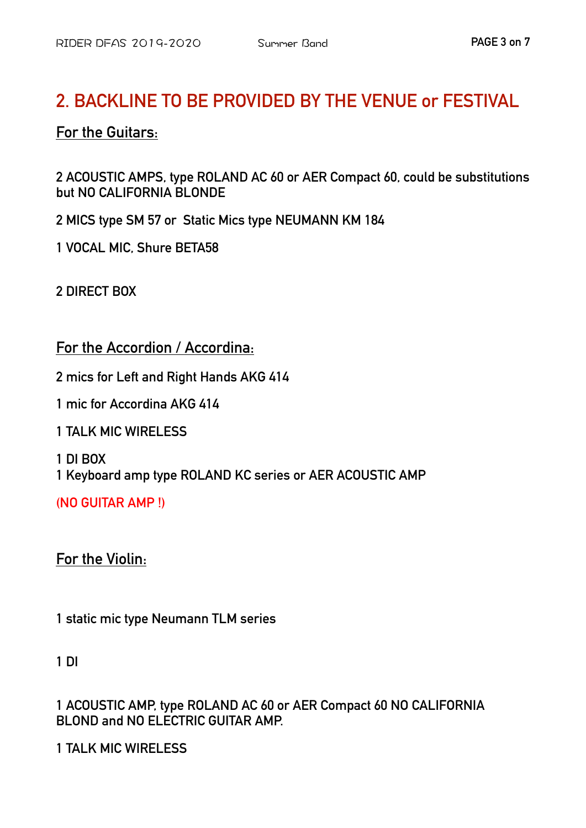### **2. BACKLINE TO BE PROVIDED BY THE VENUE or FESTIVAL**

#### **For the Guitars:**

**2 ACOUSTIC AMPS, type ROLAND AC 60 or AER Compact 60, could be substitutions but NO CALIFORNIA BLONDE**

**2 MICS type SM 57 or Static Mics type NEUMANN KM 184** 

**1 VOCAL MIC, Shure BETA58** 

**2 DIRECT BOX** 

**For the Accordion / Accordina:** 

**2 mics for Left and Right Hands AKG 414** 

**1 mic for Accordina AKG 414** 

**1 TALK MIC WIRELESS** 

**1 DI BOX 1 Keyboard amp type ROLAND KC series or AER ACOUSTIC AMP** 

**(NO GUITAR AMP !)** 

**For the Violin:** 

**1 static mic type Neumann TLM series** 

**1 DI** 

**1 ACOUSTIC AMP, type ROLAND AC 60 or AER Compact 60 NO CALIFORNIA BLOND and NO ELECTRIC GUITAR AMP.** 

**1 TALK MIC WIRELESS**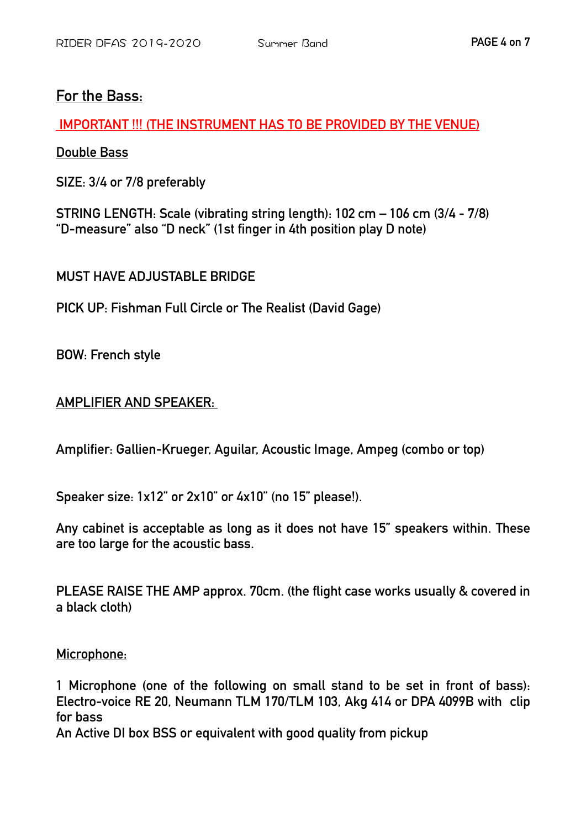#### **For the Bass:**

 **IMPORTANT !!! (THE INSTRUMENT HAS TO BE PROVIDED BY THE VENUE)** 

**Double Bass** 

**SIZE: 3/4 or 7/8 preferably** 

**STRING LENGTH: Scale (vibrating string length): 102 cm – 106 cm (3/4 - 7/8) "D-measure" also "D neck" (1st finger in 4th position play D note)** 

**MUST HAVE AD ILISTABLE BRIDGE** 

**PICK UP: Fishman Full Circle or The Realist (David Gage)** 

**BOW: French style** 

#### **AMPLIFIER AND SPEAKER:**

**Amplifier: Gallien-Krueger, Aguilar, Acoustic Image, Ampeg (combo or top)** 

**Speaker size: 1x12" or 2x10" or 4x10" (no 15" please!).** 

**Any cabinet is acceptable as long as it does not have 15" speakers within. These are too large for the acoustic bass.** 

**PLEASE RAISE THE AMP approx. 70cm. (the flight case works usually & covered in a black cloth)** 

#### **Microphone:**

**1 Microphone (one of the following on small stand to be set in front of bass): Electro-voice RE 20, Neumann TLM 170/TLM 103, Akg 414 or DPA 4099B with clip for bass** 

**An Active DI box BSS or equivalent with good quality from pickup**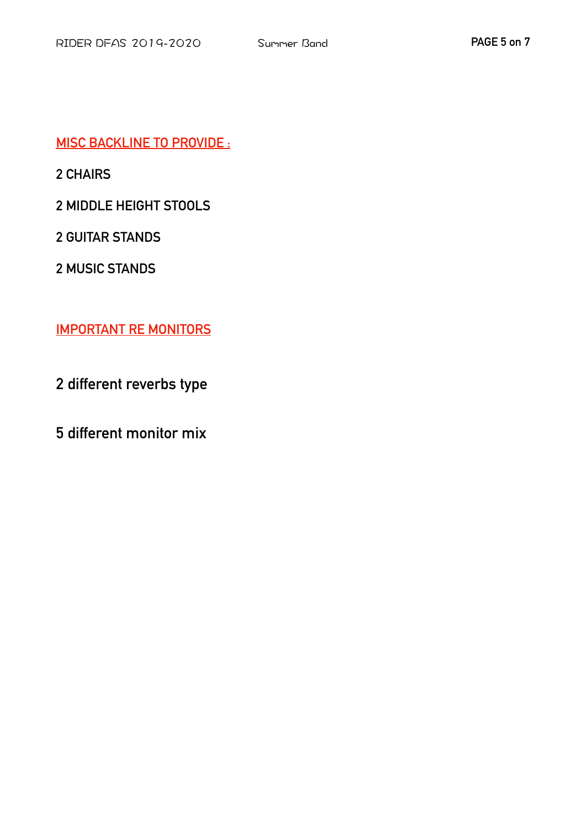**MISC BACKLINE TO PROVIDE :**

**2 CHAIRS** 

**2 MIDDLE HEIGHT STOOLS** 

**2 GUITAR STANDS** 

**2 MUSIC STANDS** 

**IMPORTANT RE MONITORS** 

**2 different reverbs type**

**5 different monitor mix**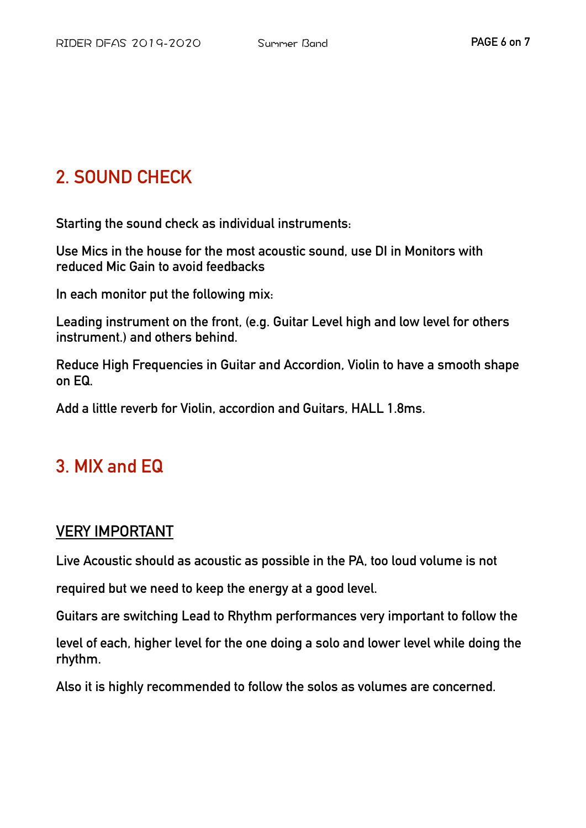# **2. SOUND CHECK**

**Starting the sound check as individual instruments:** 

**Use Mics in the house for the most acoustic sound, use DI in Monitors with reduced Mic Gain to avoid feedbacks** 

**In each monitor put the following mix:** 

**Leading instrument on the front, (e.g. Guitar Level high and low level for others instrument.) and others behind.** 

**Reduce High Frequencies in Guitar and Accordion, Violin to have a smooth shape on EQ.** 

**Add a little reverb for Violin, accordion and Guitars, HALL 1.8ms.** 

## **3. MIX and EQ**

### **VERY IMPORTANT**

**Live Acoustic should as acoustic as possible in the PA, too loud volume is not** 

**required but we need to keep the energy at a good level.** 

**Guitars are switching Lead to Rhythm performances very important to follow the** 

**level of each, higher level for the one doing a solo and lower level while doing the rhythm.** 

**Also it is highly recommended to follow the solos as volumes are concerned.**